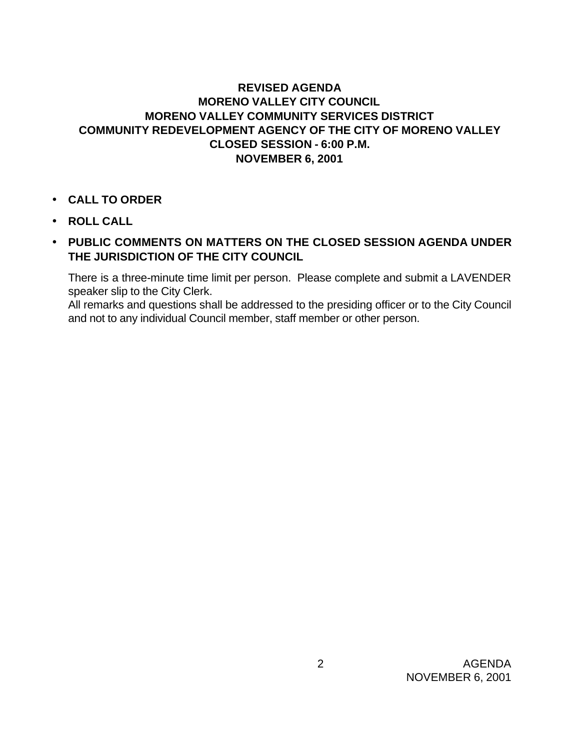## **REVISED AGENDA MORENO VALLEY CITY COUNCIL MORENO VALLEY COMMUNITY SERVICES DISTRICT COMMUNITY REDEVELOPMENT AGENCY OF THE CITY OF MORENO VALLEY CLOSED SESSION - 6:00 P.M. NOVEMBER 6, 2001**

- **CALL TO ORDER**
- **ROLL CALL**
- **PUBLIC COMMENTS ON MATTERS ON THE CLOSED SESSION AGENDA UNDER THE JURISDICTION OF THE CITY COUNCIL**

There is a three-minute time limit per person. Please complete and submit a LAVENDER speaker slip to the City Clerk.

All remarks and questions shall be addressed to the presiding officer or to the City Council and not to any individual Council member, staff member or other person.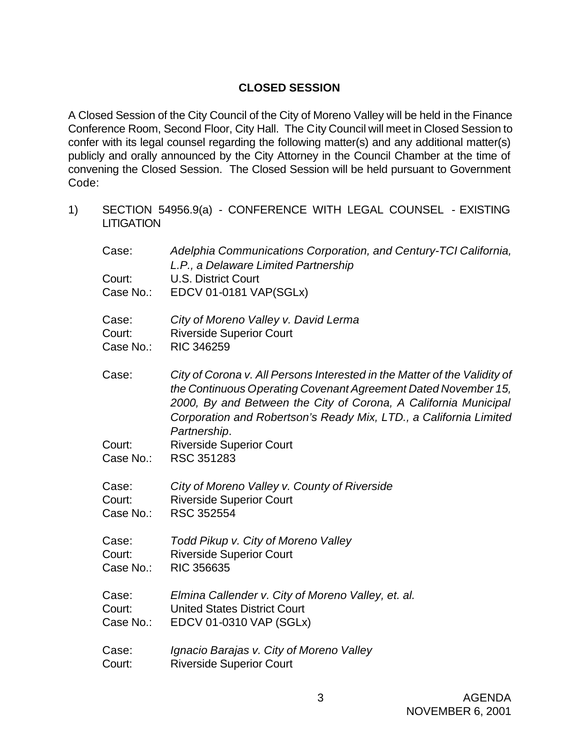## **CLOSED SESSION**

A Closed Session of the City Council of the City of Moreno Valley will be held in the Finance Conference Room, Second Floor, City Hall. The City Council will meet in Closed Session to confer with its legal counsel regarding the following matter(s) and any additional matter(s) publicly and orally announced by the City Attorney in the Council Chamber at the time of convening the Closed Session. The Closed Session will be held pursuant to Government Code:

1) SECTION 54956.9(a) - CONFERENCE WITH LEGAL COUNSEL - EXISTING LITIGATION

| Case:     | Adelphia Communications Corporation, and Century-TCI California, |
|-----------|------------------------------------------------------------------|
|           | L.P., a Delaware Limited Partnership                             |
| Court:    | U.S. District Court                                              |
| Case No.: | EDCV 01-0181 VAP(SGLx)                                           |
|           |                                                                  |

- Case: *City of Moreno Valley v. David Lerma* Court: Riverside Superior Court
- Case No.: RIC 346259
- Case: *City of Corona v. All Persons Interested in the Matter of the Validity of the Continuous Operating Covenant Agreement Dated November 15, 2000, By and Between the City of Corona, A California Municipal Corporation and Robertson's Ready Mix, LTD., a California Limited Partnership*.
- Court: Riverside Superior Court
- Case No.: RSC 351283
- Case: *City of Moreno Valley v. County of Riverside* Court: Riverside Superior Court
- Case No.: RSC 352554
- Case: *Todd Pikup v. City of Moreno Valley* Court: Riverside Superior Court Case No.: RIC 356635
- Case: *Elmina Callender v. City of Moreno Valley, et. al.* Court: United States District Court Case No.: EDCV 01-0310 VAP (SGLx)
- Case: *Ignacio Barajas v. City of Moreno Valley* Court: Riverside Superior Court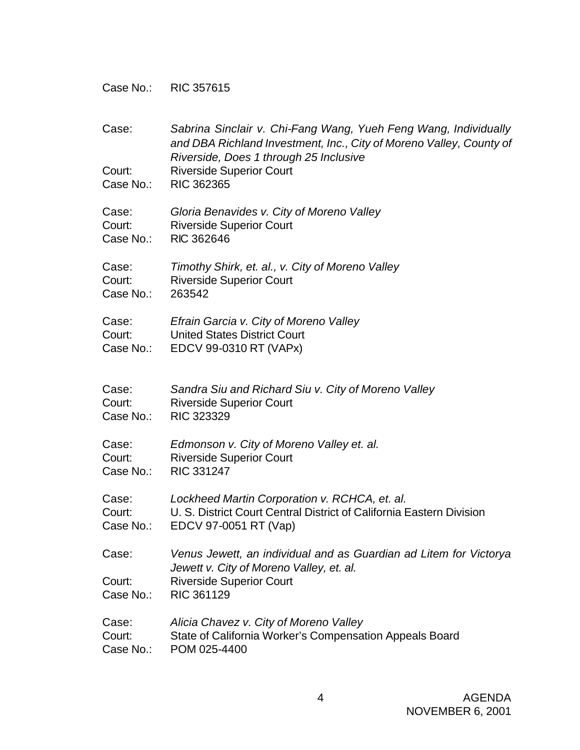Case No.: RIC 357615

| Case:<br>Court:<br>Case No.: | Sabrina Sinclair v. Chi-Fang Wang, Yueh Feng Wang, Individually<br>and DBA Richland Investment, Inc., City of Moreno Valley, County of<br>Riverside, Does 1 through 25 Inclusive<br><b>Riverside Superior Court</b><br><b>RIC 362365</b> |
|------------------------------|------------------------------------------------------------------------------------------------------------------------------------------------------------------------------------------------------------------------------------------|
| Case:                        | Gloria Benavides v. City of Moreno Valley                                                                                                                                                                                                |
| Court:                       | <b>Riverside Superior Court</b>                                                                                                                                                                                                          |
| Case No.:                    | RIC 362646                                                                                                                                                                                                                               |
| Case:                        | Timothy Shirk, et. al., v. City of Moreno Valley                                                                                                                                                                                         |
| Court:                       | <b>Riverside Superior Court</b>                                                                                                                                                                                                          |
| Case No.:                    | 263542                                                                                                                                                                                                                                   |
| Case:                        | Efrain Garcia v. City of Moreno Valley                                                                                                                                                                                                   |
| Court:                       | <b>United States District Court</b>                                                                                                                                                                                                      |
| Case No.:                    | EDCV 99-0310 RT (VAPx)                                                                                                                                                                                                                   |
| Case:                        | Sandra Siu and Richard Siu v. City of Moreno Valley                                                                                                                                                                                      |
| Court:                       | <b>Riverside Superior Court</b>                                                                                                                                                                                                          |
| Case No.:                    | <b>RIC 323329</b>                                                                                                                                                                                                                        |
| Case:                        | Edmonson v. City of Moreno Valley et. al.                                                                                                                                                                                                |
| Court:                       | <b>Riverside Superior Court</b>                                                                                                                                                                                                          |
| Case No.:                    | RIC 331247                                                                                                                                                                                                                               |
| Case:                        | Lockheed Martin Corporation v. RCHCA, et. al.                                                                                                                                                                                            |
| Court:                       | U. S. District Court Central District of California Eastern Division                                                                                                                                                                     |
| Case No.:                    | EDCV 97-0051 RT (Vap)                                                                                                                                                                                                                    |
| Case:<br>Court:<br>Case No.: | Venus Jewett, an individual and as Guardian ad Litem for Victorya<br>Jewett v. City of Moreno Valley, et. al.<br><b>Riverside Superior Court</b><br>RIC 361129                                                                           |
| Case:                        | Alicia Chavez v. City of Moreno Valley                                                                                                                                                                                                   |
| Court:                       | State of California Worker's Compensation Appeals Board                                                                                                                                                                                  |
| Case No.:                    | POM 025-4400                                                                                                                                                                                                                             |